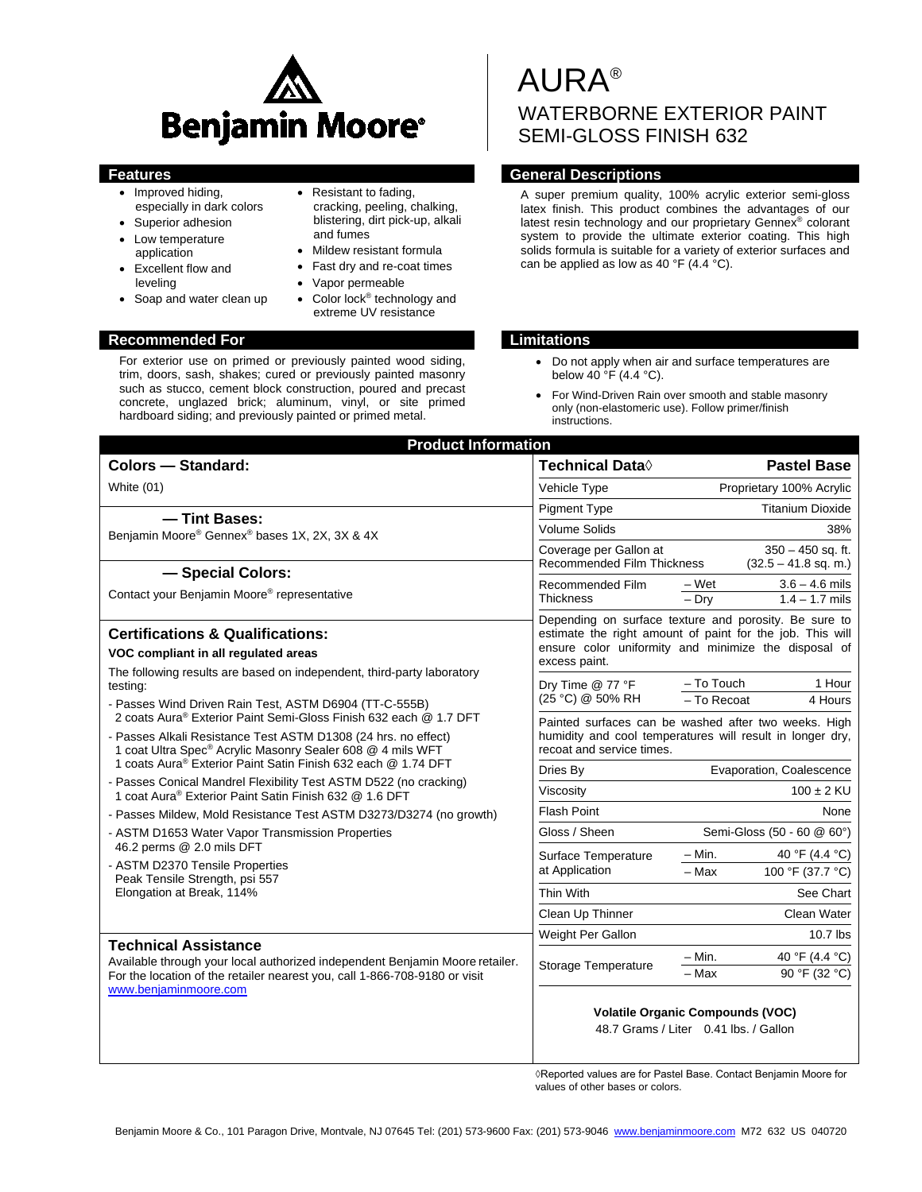

- Improved hiding, especially in dark colors
- Superior adhesion
- Low temperature
- application • Excellent flow and leveling
- Soap and water clean up
- Resistant to fading,
- cracking, peeling, chalking, blistering, dirt pick-up, alkali and fumes
- Mildew resistant formula
- Fast dry and re-coat times
- Vapor permeable
- Color lock® technology and extreme UV resistance

# **Recommended For Limitations**

For exterior use on primed or previously painted wood siding, trim, doors, sash, shakes; cured or previously painted masonry such as stucco, cement block construction, poured and precast concrete, unglazed brick; aluminum, vinyl, or site primed hardboard siding; and previously painted or primed metal.

# AURA® WATERBORNE EXTERIOR PAINT SEMI-GLOSS FINISH 632

# **Features Features General Descriptions**

A super premium quality, 100% acrylic exterior semi-gloss latex finish. This product combines the advantages of our latest resin technology and our proprietary Gennex® colorant system to provide the ultimate exterior coating. This high solids formula is suitable for a variety of exterior surfaces and can be applied as low as 40 °F (4.4 °C).

- Do not apply when air and surface temperatures are below 40 °F (4.4 °C).
- For Wind-Driven Rain over smooth and stable masonry only (non-elastomeric use). Follow primer/finish instructions.

| <b>Product Information</b>                                                                                                                                                                        |                                                                                                                                                                                             |                                                |  |  |
|---------------------------------------------------------------------------------------------------------------------------------------------------------------------------------------------------|---------------------------------------------------------------------------------------------------------------------------------------------------------------------------------------------|------------------------------------------------|--|--|
| <b>Colors - Standard:</b>                                                                                                                                                                         | <b>Technical Data</b> ♦                                                                                                                                                                     | <b>Pastel Base</b>                             |  |  |
| White (01)                                                                                                                                                                                        | Proprietary 100% Acrylic<br>Vehicle Type                                                                                                                                                    |                                                |  |  |
| - Tint Bases:                                                                                                                                                                                     | <b>Pigment Type</b>                                                                                                                                                                         | <b>Titanium Dioxide</b>                        |  |  |
| Benjamin Moore® Gennex® bases 1X, 2X, 3X & 4X                                                                                                                                                     | <b>Volume Solids</b>                                                                                                                                                                        | 38%                                            |  |  |
|                                                                                                                                                                                                   | Coverage per Gallon at<br>$350 - 450$ sq. ft.<br><b>Recommended Film Thickness</b><br>$(32.5 - 41.8$ sq. m.)                                                                                |                                                |  |  |
| - Special Colors:                                                                                                                                                                                 | $3.6 - 4.6$ mils<br>Recommended Film<br>– Wet                                                                                                                                               |                                                |  |  |
| Contact your Benjamin Moore <sup>®</sup> representative                                                                                                                                           | <b>Thickness</b>                                                                                                                                                                            | $-$ Drv<br>$1.4 - 1.7$ mils                    |  |  |
| <b>Certifications &amp; Qualifications:</b><br>VOC compliant in all regulated areas                                                                                                               | Depending on surface texture and porosity. Be sure to<br>estimate the right amount of paint for the job. This will<br>ensure color uniformity and minimize the disposal of<br>excess paint. |                                                |  |  |
| The following results are based on independent, third-party laboratory<br>testing:<br>- Passes Wind Driven Rain Test, ASTM D6904 (TT-C-555B)                                                      | Dry Time @ 77 °F<br>(25 °C) @ 50% RH                                                                                                                                                        | - To Touch<br>1 Hour<br>- To Recoat<br>4 Hours |  |  |
| 2 coats Aura® Exterior Paint Semi-Gloss Finish 632 each @ 1.7 DFT<br>- Passes Alkali Resistance Test ASTM D1308 (24 hrs. no effect)<br>1 coat Ultra Spec® Acrylic Masonry Sealer 608 @ 4 mils WFT | Painted surfaces can be washed after two weeks. High<br>humidity and cool temperatures will result in longer dry,<br>recoat and service times.                                              |                                                |  |  |
| 1 coats Aura® Exterior Paint Satin Finish 632 each @ 1.74 DFT                                                                                                                                     | Dries By                                                                                                                                                                                    | Evaporation, Coalescence                       |  |  |
| - Passes Conical Mandrel Flexibility Test ASTM D522 (no cracking)<br>1 coat Aura® Exterior Paint Satin Finish 632 @ 1.6 DFT                                                                       | Viscosity                                                                                                                                                                                   | $100 \pm 2 \text{ KU}$                         |  |  |
| - Passes Mildew, Mold Resistance Test ASTM D3273/D3274 (no growth)                                                                                                                                | <b>Flash Point</b>                                                                                                                                                                          | None                                           |  |  |
| - ASTM D1653 Water Vapor Transmission Properties                                                                                                                                                  | Gloss / Sheen                                                                                                                                                                               | Semi-Gloss (50 - 60 @ 60°)                     |  |  |
| 46.2 perms @ 2.0 mils DFT                                                                                                                                                                         | Surface Temperature                                                                                                                                                                         | $- Min.$<br>40 °F (4.4 °C)                     |  |  |
| - ASTM D2370 Tensile Properties<br>Peak Tensile Strength, psi 557                                                                                                                                 | at Application                                                                                                                                                                              | 100 °F (37.7 °C)<br>– Max                      |  |  |
| Elongation at Break, 114%                                                                                                                                                                         | Thin With                                                                                                                                                                                   | See Chart                                      |  |  |
|                                                                                                                                                                                                   | Clean Up Thinner                                                                                                                                                                            | Clean Water                                    |  |  |
|                                                                                                                                                                                                   | Weight Per Gallon                                                                                                                                                                           | 10.7 lbs                                       |  |  |
| <b>Technical Assistance</b><br>Available through your local authorized independent Benjamin Moore retailer.<br>For the location of the retailer nearest you, call 1-866-708-9180 or visit         | Storage Temperature                                                                                                                                                                         | $-$ Min.<br>40 °F (4.4 °C)                     |  |  |
|                                                                                                                                                                                                   |                                                                                                                                                                                             | $-$ Max<br>90 °F (32 °C)                       |  |  |
| www.benjaminmoore.com                                                                                                                                                                             | <b>Volatile Organic Compounds (VOC)</b><br>48.7 Grams / Liter 0.41 lbs. / Gallon                                                                                                            |                                                |  |  |

◊Reported values are for Pastel Base. Contact Benjamin Moore for values of other bases or colors.